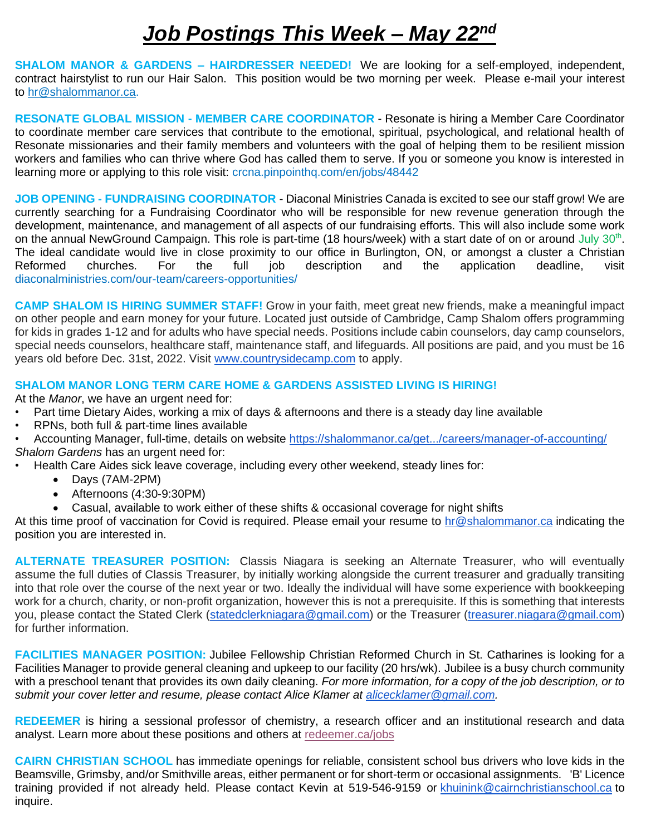## *Job Postings This Week – May 22nd*

**SHALOM MANOR & GARDENS – HAIRDRESSER NEEDED!** We are looking for a self-employed, independent, contract hairstylist to run our Hair Salon. This position would be two morning per week. Please e-mail your interest to [hr@shalommanor.ca.](mailto:hr@shalommanor.ca)

**RESONATE GLOBAL MISSION - MEMBER CARE COORDINATOR** - Resonate is hiring a Member Care Coordinator to coordinate member care services that contribute to the emotional, spiritual, psychological, and relational health of Resonate missionaries and their family members and volunteers with the goal of helping them to be resilient mission workers and families who can thrive where God has called them to serve. If you or someone you know is interested in learning more or applying to this role visit: crcna.pinpointhq.com/en/jobs/48442

**JOB OPENING - FUNDRAISING COORDINATOR** - Diaconal Ministries Canada is excited to see our staff grow! We are currently searching for a Fundraising Coordinator who will be responsible for new revenue generation through the development, maintenance, and management of all aspects of our fundraising efforts. This will also include some work on the annual NewGround Campaign. This role is part-time (18 hours/week) with a start date of on or around July 30<sup>th</sup>. The ideal candidate would live in close proximity to our office in Burlington, ON, or amongst a cluster a Christian Reformed churches. For the full job description and the application deadline, visit diaconalministries.com/our-team/careers-opportunities/

**CAMP SHALOM IS HIRING SUMMER STAFF!** Grow in your faith, meet great new friends, make a meaningful impact on other people and earn money for your future. Located just outside of Cambridge, Camp Shalom offers programming for kids in grades 1-12 and for adults who have special needs. Positions include cabin counselors, day camp counselors, special needs counselors, healthcare staff, maintenance staff, and lifeguards. All positions are paid, and you must be 16 years old before Dec. 31st, 2022. Visit [www.countrysidecamp.com](http://www.countrysidecamp.com/) to apply.

## **SHALOM MANOR LONG TERM CARE HOME & GARDENS ASSISTED LIVING IS HIRING!**

At the *Manor*, we have an urgent need for:

- Part time Dietary Aides, working a mix of days & afternoons and there is a steady day line available
- RPNs, both full & part-time lines available
- Accounting Manager, full-time, details on website [https://shalommanor.ca/get.../careers/manager-of-accounting/](https://shalommanor.ca/get-involved/careers/manager-of-accounting/?fbclid=IwAR2cCq6G0JlvNPnsx4WaSk-ROmggQ8YgMlcyRnI_5FMPmf6TwoOThAdnyEU) *Shalom Gardens* has an urgent need for:
	- Health Care Aides sick leave coverage, including every other weekend, steady lines for:
		- Days (7AM-2PM)
		- Afternoons (4:30-9:30PM)
		- Casual, available to work either of these shifts & occasional coverage for night shifts

At this time proof of vaccination for Covid is required. Please email your resume to [hr@shalommanor.ca](mailto:hr@shalommanor.ca) indicating the position you are interested in.

**ALTERNATE TREASURER POSITION:** Classis Niagara is seeking an Alternate Treasurer, who will eventually assume the full duties of Classis Treasurer, by initially working alongside the current treasurer and gradually transiting into that role over the course of the next year or two. Ideally the individual will have some experience with bookkeeping work for a church, charity, or non-profit organization, however this is not a prerequisite. If this is something that interests you, please contact the Stated Clerk [\(statedclerkniagara@gmail.com\)](mailto:statedclerkniagara@gmail.com) or the Treasurer [\(treasurer.niagara@gmail.com\)](mailto:treasurer.niagara@gmail.com) for further information.

**FACILITIES MANAGER POSITION:** Jubilee Fellowship Christian Reformed Church in St. Catharines is looking for a Facilities Manager to provide general cleaning and upkeep to our facility (20 hrs/wk). Jubilee is a busy church community with a preschool tenant that provides its own daily cleaning. *For more information, for a copy of the job description, or to submit your cover letter and resume, please contact Alice Klamer at [alicecklamer@gmail.com.](mailto:alicecklamer@gmail.com)*

**REDEEMER** is hiring a sessional professor of chemistry, a research officer and an institutional research and data analyst. Learn more about these positions and others at [redeemer.ca/jobs](https://redeemer.us2.list-manage.com/track/click?u=fe60fa58c5805869e7465bbe6&id=56b52168d6&e=47de1ef0d4)

**CAIRN CHRISTIAN SCHOOL** has immediate openings for reliable, consistent school bus drivers who love kids in the Beamsville, Grimsby, and/or Smithville areas, either permanent or for short-term or occasional assignments. 'B' Licence training provided if not already held. Please contact Kevin at 519-546-9159 or [khuinink@cairnchristianschool.ca](mailto:khuinink@cairnchristianschool.ca) to inquire.